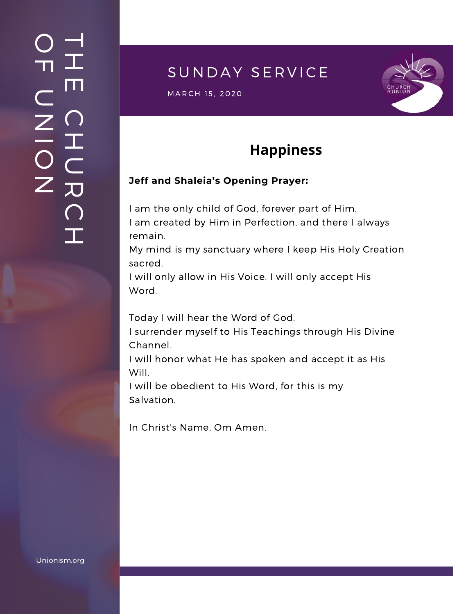### $\overline{\phantom{a}}$ H m.  $\bigcap$ H  $\subset$ 刀  $\bigcap$  $\mathbf{I}$  .  $\bigcirc$  $\blacksquare$  $\subset$  $\mathsf{Z}^+$ <u>In the Second Contract of the Second Contract of the International Second Contract of the International Second Contract of the International Second Contract of the International Second Contract of the International Second</u>  $\bigcirc$  $\mathsf{Z}^+$

### SUNDAY SERVICE

S U N D A Y S E R V I C E M A R C H 1 5 , 2020



# **Happiness**

#### **Jeff and Shaleia's Opening Prayer:**

I am the only child of God, forever part of Him. I am created by Him in Perfection, and there I always remain.

My mind is my sanctuary where I keep His Holy Creation sacred.

I will only allow in His Voice. I will only accept His Word.

Today I will hear the Word of God.

I surrender myself to His Teachings through His Divine Channel.

I will honor what He has spoken and accept it as His Will.

I will be obedient to His Word, for this is my Salvation.

In Christ's Name, Om Amen.